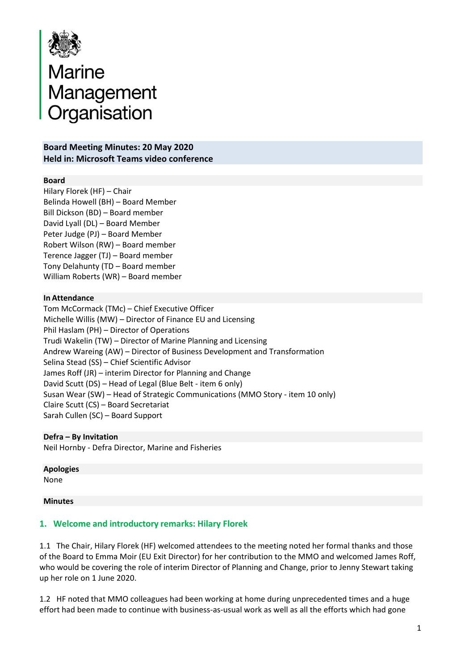

# Marine<br>Management<br>Organisation

#### **Board Meeting Minutes: 20 May 2020 Held in: Microsoft Teams video conference**

#### **Board**

Hilary Florek (HF) – Chair Belinda Howell (BH) – Board Member Bill Dickson (BD) – Board member David Lyall (DL) – Board Member Peter Judge (PJ) – Board Member Robert Wilson (RW) – Board member Terence Jagger (TJ) – Board member Tony Delahunty (TD – Board member William Roberts (WR) – Board member

#### **In Attendance**

Tom McCormack (TMc) – Chief Executive Officer Michelle Willis (MW) – Director of Finance EU and Licensing Phil Haslam (PH) – Director of Operations Trudi Wakelin (TW) – Director of Marine Planning and Licensing Andrew Wareing (AW) – Director of Business Development and Transformation Selina Stead (SS) – Chief Scientific Advisor James Roff (JR) – interim Director for Planning and Change David Scutt (DS) – Head of Legal (Blue Belt - item 6 only) Susan Wear (SW) – Head of Strategic Communications (MMO Story - item 10 only) Claire Scutt (CS) – Board Secretariat Sarah Cullen (SC) – Board Support

**Defra – By Invitation**  Neil Hornby - Defra Director, Marine and Fisheries

**Apologies** None

#### **Minutes**

#### **1. Welcome and introductory remarks: Hilary Florek**

1.1 The Chair, Hilary Florek (HF) welcomed attendees to the meeting noted her formal thanks and those of the Board to Emma Moir (EU Exit Director) for her contribution to the MMO and welcomed James Roff, who would be covering the role of interim Director of Planning and Change, prior to Jenny Stewart taking up her role on 1 June 2020.

1.2 HF noted that MMO colleagues had been working at home during unprecedented times and a huge effort had been made to continue with business-as-usual work as well as all the efforts which had gone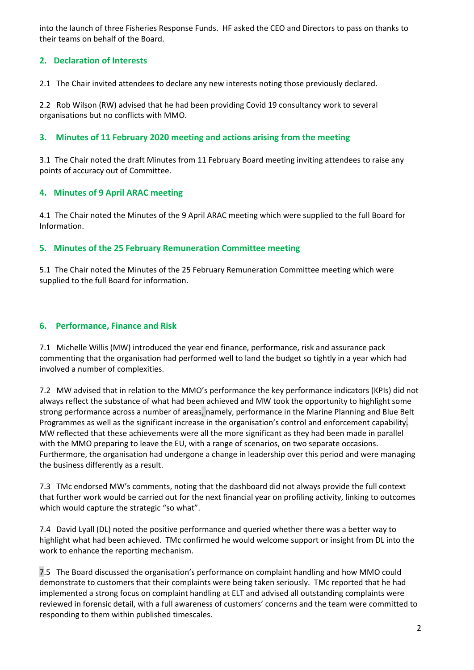into the launch of three Fisheries Response Funds. HF asked the CEO and Directors to pass on thanks to their teams on behalf of the Board.

# **2. Declaration of Interests**

2.1 The Chair invited attendees to declare any new interests noting those previously declared.

2.2 Rob Wilson (RW) advised that he had been providing Covid 19 consultancy work to several organisations but no conflicts with MMO.

#### **3. Minutes of 11 February 2020 meeting and actions arising from the meeting**

3.1 The Chair noted the draft Minutes from 11 February Board meeting inviting attendees to raise any points of accuracy out of Committee.

#### **4. Minutes of 9 April ARAC meeting**

4.1 The Chair noted the Minutes of the 9 April ARAC meeting which were supplied to the full Board for Information.

#### **5. Minutes of the 25 February Remuneration Committee meeting**

5.1 The Chair noted the Minutes of the 25 February Remuneration Committee meeting which were supplied to the full Board for information.

#### **6. Performance, Finance and Risk**

7.1 Michelle Willis (MW) introduced the year end finance, performance, risk and assurance pack commenting that the organisation had performed well to land the budget so tightly in a year which had involved a number of complexities.

7.2 MW advised that in relation to the MMO's performance the key performance indicators (KPIs) did not always reflect the substance of what had been achieved and MW took the opportunity to highlight some strong performance across a number of areas, namely, performance in the Marine Planning and Blue Belt Programmes as well as the significant increase in the organisation's control and enforcement capability. MW reflected that these achievements were all the more significant as they had been made in parallel with the MMO preparing to leave the EU, with a range of scenarios, on two separate occasions. Furthermore, the organisation had undergone a change in leadership over this period and were managing the business differently as a result.

7.3 TMc endorsed MW's comments, noting that the dashboard did not always provide the full context that further work would be carried out for the next financial year on profiling activity, linking to outcomes which would capture the strategic "so what".

7.4 David Lyall (DL) noted the positive performance and queried whether there was a better way to highlight what had been achieved. TMc confirmed he would welcome support or insight from DL into the work to enhance the reporting mechanism.

7.5 The Board discussed the organisation's performance on complaint handling and how MMO could demonstrate to customers that their complaints were being taken seriously. TMc reported that he had implemented a strong focus on complaint handling at ELT and advised all outstanding complaints were reviewed in forensic detail, with a full awareness of customers' concerns and the team were committed to responding to them within published timescales.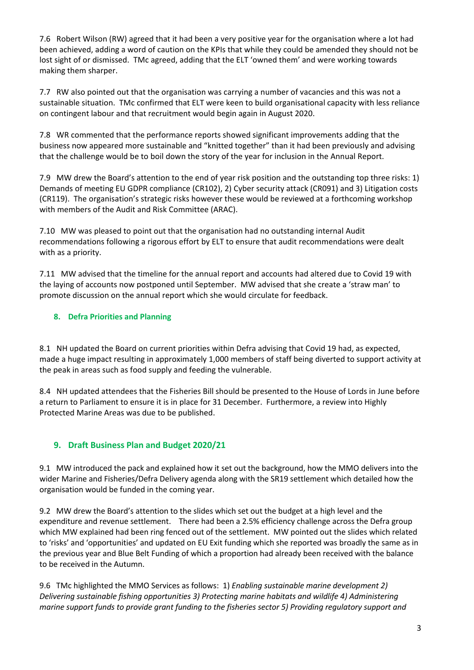7.6 Robert Wilson (RW) agreed that it had been a very positive year for the organisation where a lot had been achieved, adding a word of caution on the KPIs that while they could be amended they should not be lost sight of or dismissed. TMc agreed, adding that the ELT 'owned them' and were working towards making them sharper.

7.7 RW also pointed out that the organisation was carrying a number of vacancies and this was not a sustainable situation. TMc confirmed that ELT were keen to build organisational capacity with less reliance on contingent labour and that recruitment would begin again in August 2020.

7.8 WR commented that the performance reports showed significant improvements adding that the business now appeared more sustainable and "knitted together" than it had been previously and advising that the challenge would be to boil down the story of the year for inclusion in the Annual Report.

7.9 MW drew the Board's attention to the end of year risk position and the outstanding top three risks: 1) Demands of meeting EU GDPR compliance (CR102), 2) Cyber security attack (CR091) and 3) Litigation costs (CR119). The organisation's strategic risks however these would be reviewed at a forthcoming workshop with members of the Audit and Risk Committee (ARAC).

7.10 MW was pleased to point out that the organisation had no outstanding internal Audit recommendations following a rigorous effort by ELT to ensure that audit recommendations were dealt with as a priority.

7.11 MW advised that the timeline for the annual report and accounts had altered due to Covid 19 with the laying of accounts now postponed until September. MW advised that she create a 'straw man' to promote discussion on the annual report which she would circulate for feedback.

# **8. Defra Priorities and Planning**

8.1 NH updated the Board on current priorities within Defra advising that Covid 19 had, as expected, made a huge impact resulting in approximately 1,000 members of staff being diverted to support activity at the peak in areas such as food supply and feeding the vulnerable.

8.4 NH updated attendees that the Fisheries Bill should be presented to the House of Lords in June before a return to Parliament to ensure it is in place for 31 December. Furthermore, a review into Highly Protected Marine Areas was due to be published.

# **9. Draft Business Plan and Budget 2020/21**

9.1 MW introduced the pack and explained how it set out the background, how the MMO delivers into the wider Marine and Fisheries/Defra Delivery agenda along with the SR19 settlement which detailed how the organisation would be funded in the coming year.

9.2 MW drew the Board's attention to the slides which set out the budget at a high level and the expenditure and revenue settlement. There had been a 2.5% efficiency challenge across the Defra group which MW explained had been ring fenced out of the settlement. MW pointed out the slides which related to 'risks' and 'opportunities' and updated on EU Exit funding which she reported was broadly the same as in the previous year and Blue Belt Funding of which a proportion had already been received with the balance to be received in the Autumn.

9.6 TMc highlighted the MMO Services as follows: 1) *Enabling sustainable marine development 2) Delivering sustainable fishing opportunities 3) Protecting marine habitats and wildlife 4) Administering marine support funds to provide grant funding to the fisheries sector 5) Providing regulatory support and*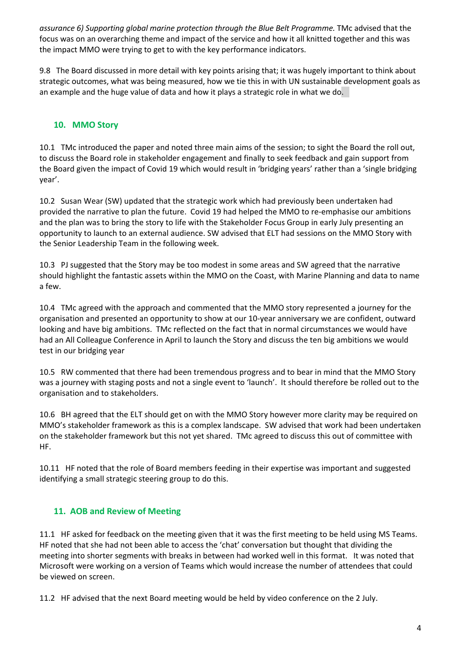assurance 6) Supporting global marine protection through the Blue Belt Programme. TMc advised that the focus was on an overarching theme and impact of the service and how it all knitted together and this was the impact MMO were trying to get to with the key performance indicators.

9.8 The Board discussed in more detail with key points arising that; it was hugely important to think about strategic outcomes, what was being measured, how we tie this in with UN sustainable development goals as an example and the huge value of data and how it plays a strategic role in what we do.

# **10. MMO Story**

10.1 TMc introduced the paper and noted three main aims of the session; to sight the Board the roll out, to discuss the Board role in stakeholder engagement and finally to seek feedback and gain support from the Board given the impact of Covid 19 which would result in 'bridging years' rather than a 'single bridging year'.

10.2 Susan Wear (SW) updated that the strategic work which had previously been undertaken had provided the narrative to plan the future. Covid 19 had helped the MMO to re-emphasise our ambitions and the plan was to bring the story to life with the Stakeholder Focus Group in early July presenting an opportunity to launch to an external audience. SW advised that ELT had sessions on the MMO Story with the Senior Leadership Team in the following week.

10.3 PJ suggested that the Story may be too modest in some areas and SW agreed that the narrative should highlight the fantastic assets within the MMO on the Coast, with Marine Planning and data to name a few.

10.4 TMc agreed with the approach and commented that the MMO story represented a journey for the organisation and presented an opportunity to show at our 10-year anniversary we are confident, outward looking and have big ambitions. TMc reflected on the fact that in normal circumstances we would have had an All Colleague Conference in April to launch the Story and discuss the ten big ambitions we would test in our bridging year

10.5 RW commented that there had been tremendous progress and to bear in mind that the MMO Story was a journey with staging posts and not a single event to 'launch'. It should therefore be rolled out to the organisation and to stakeholders.

10.6 BH agreed that the ELT should get on with the MMO Story however more clarity may be required on MMO's stakeholder framework as this is a complex landscape. SW advised that work had been undertaken on the stakeholder framework but this not yet shared. TMc agreed to discuss this out of committee with HF.

10.11 HF noted that the role of Board members feeding in their expertise was important and suggested identifying a small strategic steering group to do this.

# **11. AOB and Review of Meeting**

11.1 HF asked for feedback on the meeting given that it was the first meeting to be held using MS Teams. HF noted that she had not been able to access the 'chat' conversation but thought that dividing the meeting into shorter segments with breaks in between had worked well in this format. It was noted that Microsoft were working on a version of Teams which would increase the number of attendees that could be viewed on screen.

11.2 HF advised that the next Board meeting would be held by video conference on the 2 July.